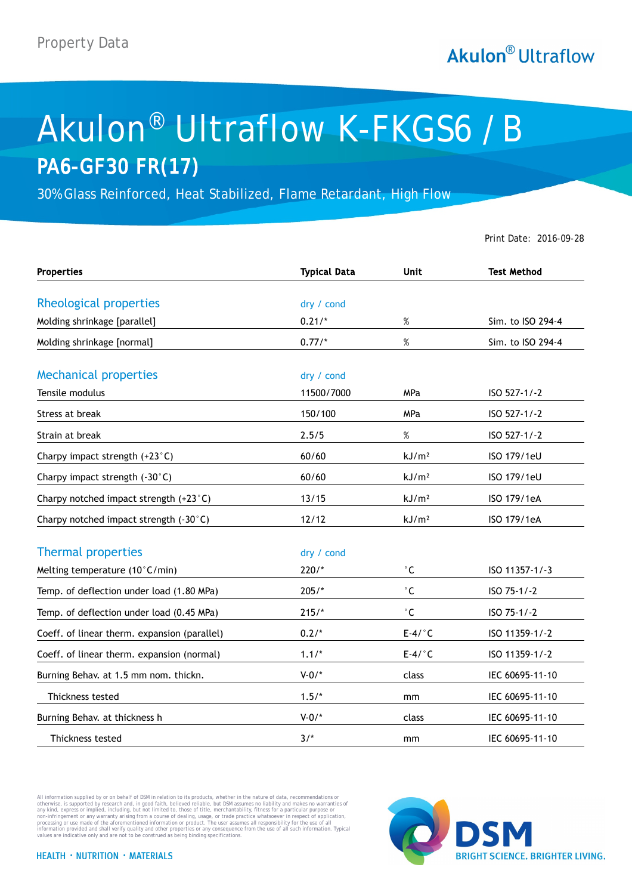## **Akulon**® Ultraflow

## Akulon® Ultraflow K-FKGS6 /B **PA6-GF30 FR(17)**

30% Glass Reinforced, Heat Stabilized, Flame Retardant, High Flow

Print Date: 2016-09-28

| <b>Properties</b>                            | <b>Typical Data</b> | <b>Unit</b>         | <b>Test Method</b> |
|----------------------------------------------|---------------------|---------------------|--------------------|
| Rheological properties                       | dry / cond          |                     |                    |
| Molding shrinkage [parallel]                 | $0.21/*$            | $\%$                | Sim. to ISO 294-4  |
| Molding shrinkage [normal]                   | $0.77/*$            | $\%$                | Sim. to ISO 294-4  |
| <b>Mechanical properties</b>                 | dry / cond          |                     |                    |
| Tensile modulus                              | 11500/7000          | MPa                 | ISO 527-1/-2       |
| Stress at break                              | 150/100             | <b>MPa</b>          | ISO 527-1/-2       |
| Strain at break                              | 2.5/5               | $\%$                | ISO 527-1/-2       |
| Charpy impact strength (+23°C)               | 60/60               | kJ/m <sup>2</sup>   | ISO 179/1eU        |
| Charpy impact strength (-30°C)               | 60/60               | kJ/m <sup>2</sup>   | ISO 179/1eU        |
| Charpy notched impact strength (+23°C)       | 13/15               | kJ/m <sup>2</sup>   | ISO 179/1eA        |
| Charpy notched impact strength (-30°C)       | 12/12               | kJ/m <sup>2</sup>   | ISO 179/1eA        |
| <b>Thermal properties</b>                    | dry / cond          |                     |                    |
| Melting temperature (10°C/min)               | $220/*$             | $^\circ \mathsf{C}$ | ISO 11357-1/-3     |
| Temp. of deflection under load (1.80 MPa)    | $205/*$             | $^{\circ}$ C        | ISO 75-1/-2        |
| Temp. of deflection under load (0.45 MPa)    | $215/*$             | $^\circ$ C          | ISO 75-1/-2        |
| Coeff. of linear therm. expansion (parallel) | $0.2/*$             | $E-4/°C$            | ISO 11359-1/-2     |
| Coeff. of linear therm. expansion (normal)   | $1.1/*$             | $E-4/°C$            | ISO 11359-1/-2     |
| Burning Behav. at 1.5 mm nom. thickn.        | $V - 0/$ *          | class               | IEC 60695-11-10    |
| Thickness tested                             | $1.5/*$             | mm                  | IEC 60695-11-10    |
| Burning Behav. at thickness h                | $V - 0/*$           | class               | IEC 60695-11-10    |
| Thickness tested                             | $3/$ *              | mm                  | IEC 60695-11-10    |

All information supplied by or on behalf of DSM in relation to its products, whether in the nature of data, recommendations or otherwise, is supported by research and, in good faith, believed reliable, but DSM assumes no liability and makes no warranties of<br>any kind, express or implied, including, but not limited to, those of title, merchantabilit